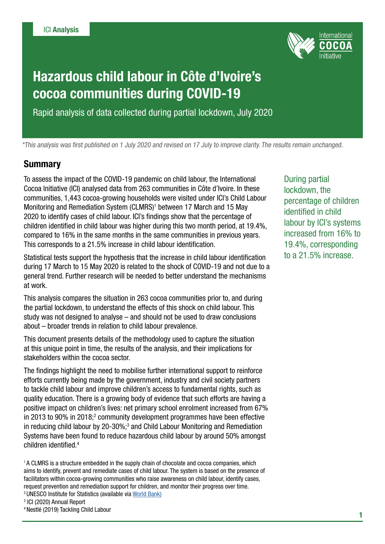

# Hazardous child labour in Côte d'Ivoire's cocoa communities during COVID-19

Rapid analysis of data collected during partial lockdown, July 2020

\*This analysis was first published on 1 July 2020 and revised on 17 July to improve clarity. The results remain unchanged.

#### **Summary**

To assess the impact of the COVID-19 pandemic on child labour, the International Cocoa Initiative (ICI) analysed data from 263 communities in Côte d'Ivoire. In these communities, 1,443 cocoa-growing households were visited under ICI's Child Labour Monitoring and Remediation System (CLMRS)<sup>1</sup> between 17 March and 15 May 2020 to identify cases of child labour. ICI's findings show that the percentage of children identified in child labour was higher during this two month period, at 19.4%, compared to 16% in the same months in the same communities in previous years. This corresponds to a 21.5% increase in child labour identification.

Statistical tests support the hypothesis that the increase in child labour identification during 17 March to 15 May 2020 is related to the shock of COVID-19 and not due to a general trend. Further research will be needed to better understand the mechanisms at work.

This analysis compares the situation in 263 cocoa communities prior to, and during the partial lockdown, to understand the effects of this shock on child labour. This study was not designed to analyse – and should not be used to draw conclusions about – broader trends in relation to child labour prevalence.

This document presents details of the methodology used to capture the situation at this unique point in time, the results of the analysis, and their implications for stakeholders within the cocoa sector.

The findings highlight the need to mobilise further international support to reinforce efforts currently being made by the government, industry and civil society partners to tackle child labour and improve children's access to fundamental rights, such as quality education. There is a growing body of evidence that such efforts are having a positive impact on children's lives: net primary school enrolment increased from 67% in 2013 to 90% in 2018; $^2$  community development programmes have been effective in reducing child labour by 20-30%;<sup>3</sup> and Child Labour Monitoring and Remediation Systems have been found to reduce hazardous child labour by around 50% amongst children identified.4

1 A CLMRS is a structure embedded in the supply chain of chocolate and cocoa companies, which aims to identify, prevent and remediate cases of child labour. The system is based on the presence of facilitators within cocoa-growing communities who raise awareness on child labour, identify cases, request prevention and remediation support for children, and monitor their progress over time.

- 2 UNESCO Institute for Statistics (available via [World Bank](https://data.worldbank.org/indicator/SE.PRM.NENR?locations=CI))
- 3 ICI (2020) Annual Report

During partial lockdown, the percentage of children identified in child labour by ICI's systems increased from 16% to 19.4%, corresponding to a 21.5% increase.

<sup>4</sup> Nestlé (2019) Tackling Child Labour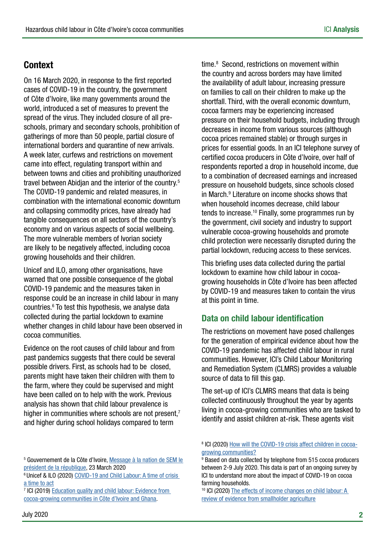## Context

On 16 March 2020, in response to the first reported cases of COVID-19 in the country, the government of Côte d'Ivoire, like many governments around the world, introduced a set of measures to prevent the spread of the virus. They included closure of all preschools, primary and secondary schools, prohibition of gatherings of more than 50 people, partial closure of international borders and quarantine of new arrivals. A week later, curfews and restrictions on movement came into effect, regulating transport within and between towns and cities and prohibiting unauthorized travel between Abidjan and the interior of the country.<sup>5</sup> The COVID-19 pandemic and related measures, in combination with the international economic downturn and collapsing commodity prices, have already had tangible consequences on all sectors of the country's economy and on various aspects of social wellbeing. The more vulnerable members of Ivorian society are likely to be negatively affected, including cocoa growing households and their children.

Unicef and ILO, among other organisations, have warned that one possible consequence of the global COVID-19 pandemic and the measures taken in response could be an increase in child labour in many countries.6 To test this hypothesis, we analyse data collected during the partial lockdown to examine whether changes in child labour have been observed in cocoa communities.

Evidence on the root causes of child labour and from past pandemics suggests that there could be several possible drivers. First, as schools had to be closed, parents might have taken their children with them to the farm, where they could be supervised and might have been called on to help with the work. Previous analysis has shown that child labour prevalence is higher in communities where schools are not present, $<sup>7</sup>$ </sup> and higher during school holidays compared to term

<sup>5</sup> Gouvernement de la Côte d'Ivoire, Message à la nation de SEM le [président de la république](http://www.gouv.ci/doc/1585001044MESSAGE-A-LA-NATION-DE-SON-EXCELLENCE-MONSIEUR-ALASSANE-OUATTARA-RELATIF-A-LA-PANDEMIE-A-CORONAVIRUS.pdf), 23 March 2020

6 Unicef & ILO (2020) [COVID-19 and Child Labour: A time of crisis](https://www.unicef.org/reports/covid-19-and-child-labour-2020)  [a time to act](https://www.unicef.org/reports/covid-19-and-child-labour-2020)

<sup>7</sup> ICI (2019) Education quality and child labour: Evidence from [cocoa-growing communities in Côte d'Ivoire and Ghana.](https://cocoainitiative.org/wp-content/uploads/2019/06/Education-quality-and-child-labour-evidence-from-C%C3%B4te-dIvoire-and-Ghana_June2019.pdf)

time.8 Second, restrictions on movement within the country and across borders may have limited the availability of adult labour, increasing pressure on families to call on their children to make up the shortfall. Third, with the overall economic downturn, cocoa farmers may be experiencing increased pressure on their household budgets, including through decreases in income from various sources (although cocoa prices remained stable) or through surges in prices for essential goods. In an ICI telephone survey of certified cocoa producers in Côte d'Ivoire, over half of respondents reported a drop in household income, due to a combination of decreased earnings and increased pressure on household budgets, since schools closed in March.<sup>9</sup> Literature on income shocks shows that when household incomes decrease, child labour tends to increase.10 Finally, some programmes run by the government, civil society and industry to support vulnerable cocoa-growing households and promote child protection were necessarily disrupted during the partial lockdown, reducing access to these services.

This briefing uses data collected during the partial lockdown to examine how child labour in cocoagrowing households in Côte d'Ivoire has been affected by COVID-19 and measures taken to contain the virus at this point in time.

### Data on child labour identification

The restrictions on movement have posed challenges for the generation of empirical evidence about how the COVID-19 pandemic has affected child labour in rural communities. However, ICI's Child Labour Monitoring and Remediation System (CLMRS) provides a valuable source of data to fill this gap.

The set-up of ICI's CLMRS means that data is being collected continuously throughout the year by agents living in cocoa-growing communities who are tasked to identify and assist children at-risk. These agents visit

<sup>&</sup>lt;sup>8</sup> ICI (2020) [How will the COVID-19 crisis affect children in cocoa](https://cocoainitiative.org/wp-content/uploads/2020/04/ICI_How-will-COVID-19-affect-children-in-cocoa-growing-communities_apr2020.pdf)[growing communities?](https://cocoainitiative.org/wp-content/uploads/2020/04/ICI_How-will-COVID-19-affect-children-in-cocoa-growing-communities_apr2020.pdf)

<sup>9</sup> Based on data collected by telephone from 515 cocoa producers between 2-9 July 2020. This data is part of an ongoing survey by ICI to understand more about the impact of COVID-19 on cocoa farming households.

<sup>&</sup>lt;sup>10</sup> ICI (2020) The effects of income changes on child labour: A [review of evidence from smallholder agriculture](https://cocoainitiative.org/wp-content/uploads/2020/04/ICI_Lit_Review_Income_ChildLabour.pdf)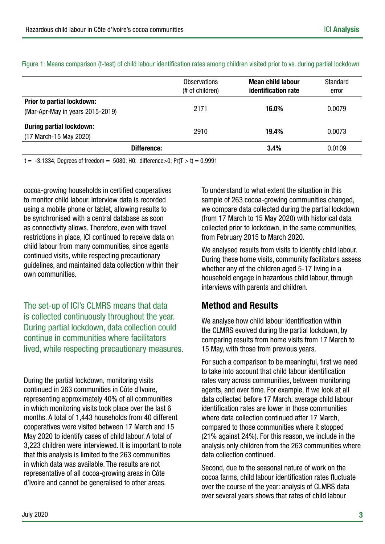|                                                                | <b>Observations</b><br>(# of children) | Mean child labour<br>identification rate | Standard<br>error |
|----------------------------------------------------------------|----------------------------------------|------------------------------------------|-------------------|
| Prior to partial lockdown:<br>(Mar-Apr-May in years 2015-2019) | 2171                                   | 16.0%                                    | 0.0079            |
| <b>During partial lockdown:</b><br>(17 March-15 May 2020)      | 2910                                   | 19.4%                                    | 0.0073            |
| Difference:                                                    |                                        | 3.4%                                     | 0.0109            |

Figure 1: Means comparison (t-test) of child labour identification rates among children visited prior to vs. during partial lockdown

 $t = -3.1334$ ; Degrees of freedom = 5080; H0: difference > 0; Pr(T > t) = 0.9991

cocoa-growing households in certified cooperatives to monitor child labour. Interview data is recorded using a mobile phone or tablet, allowing results to be synchronised with a central database as soon as connectivity allows. Therefore, even with travel restrictions in place, ICI continued to receive data on child labour from many communities, since agents continued visits, while respecting precautionary guidelines, and maintained data collection within their own communities.

The set-up of ICI's CLMRS means that data is collected continuously throughout the year. During partial lockdown, data collection could continue in communities where facilitators lived, while respecting precautionary measures.

During the partial lockdown, monitoring visits continued in 263 communities in Côte d'Ivoire, representing approximately 40% of all communities in which monitoring visits took place over the last 6 months. A total of 1,443 households from 40 different cooperatives were visited between 17 March and 15 May 2020 to identify cases of child labour. A total of 3,223 children were interviewed. It is important to note that this analysis is limited to the 263 communities in which data was available. The results are not representative of all cocoa-growing areas in Côte d'Ivoire and cannot be generalised to other areas.

To understand to what extent the situation in this sample of 263 cocoa-growing communities changed, we compare data collected during the partial lockdown (from 17 March to 15 May 2020) with historical data collected prior to lockdown, in the same communities, from February 2015 to March 2020.

We analysed results from visits to identify child labour. During these home visits, community facilitators assess whether any of the children aged 5-17 living in a household engage in hazardous child labour, through interviews with parents and children.

## Method and Results

We analyse how child labour identification within the CLMRS evolved during the partial lockdown, by comparing results from home visits from 17 March to 15 May, with those from previous years.

For such a comparison to be meaningful, first we need to take into account that child labour identification rates vary across communities, between monitoring agents, and over time. For example, if we look at all data collected before 17 March, average child labour identification rates are lower in those communities where data collection continued after 17 March, compared to those communities where it stopped (21% against 24%). For this reason, we include in the analysis only children from the 263 communities where data collection continued.

Second, due to the seasonal nature of work on the cocoa farms, child labour identification rates fluctuate over the course of the year: analysis of CLMRS data over several years shows that rates of child labour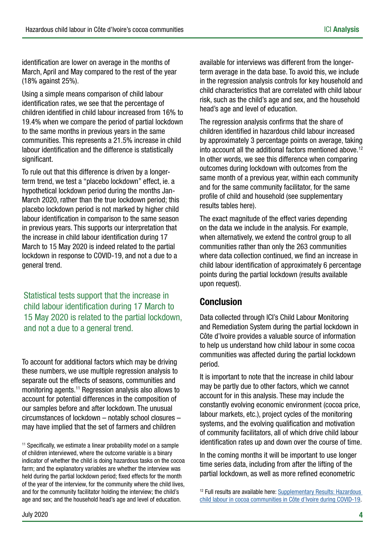identification are lower on average in the months of March, April and May compared to the rest of the year (18% against 25%).

Using a simple means comparison of child labour identification rates, we see that the percentage of children identified in child labour increased from 16% to 19.4% when we compare the period of partial lockdown to the same months in previous years in the same communities. This represents a 21.5% increase in child labour identification and the difference is statistically significant.

To rule out that this difference is driven by a longerterm trend, we test a "placebo lockdown" effect, ie. a hypothetical lockdown period during the months Jan-March 2020, rather than the true lockdown period; this placebo lockdown period is not marked by higher child labour identification in comparison to the same season in previous years. This supports our interpretation that the increase in child labour identification during 17 March to 15 May 2020 is indeed related to the partial lockdown in response to COVID-19, and not a due to a general trend.

Statistical tests support that the increase in child labour identification during 17 March to 15 May 2020 is related to the partial lockdown, and not a due to a general trend.

To account for additional factors which may be driving these numbers, we use multiple regression analysis to separate out the effects of seasons, communities and monitoring agents.11 Regression analysis also allows to account for potential differences in the composition of our samples before and after lockdown. The unusual circumstances of lockdown – notably school closures – may have implied that the set of farmers and children

<sup>11</sup> Specifically, we estimate a linear probability model on a sample of children interviewed, where the outcome variable is a binary indicator of whether the child is doing hazardous tasks on the cocoa farm; and the explanatory variables are whether the interview was held during the partial lockdown period; fixed effects for the month of the year of the interview, for the community where the child lives, and for the community facilitator holding the interview; the child's age and sex; and the household head's age and level of education.

available for interviews was different from the longerterm average in the data base. To avoid this, we include in the regression analysis controls for key household and child characteristics that are correlated with child labour risk, such as the child's age and sex, and the household head's age and level of education.

The regression analysis confirms that the share of children identified in hazardous child labour increased by approximately 3 percentage points on average, taking into account all the additional factors mentioned above.12 In other words, we see this difference when comparing outcomes during lockdown with outcomes from the same month of a previous year, within each community and for the same community facilitator, for the same profile of child and household (see supplementary results tables here).

The exact magnitude of the effect varies depending on the data we include in the analysis. For example, when alternatively, we extend the control group to all communities rather than only the 263 communities where data collection continued, we find an increase in child labour identification of approximately 6 percentage points during the partial lockdown (results available upon request).

## Conclusion

Data collected through ICI's Child Labour Monitoring and Remediation System during the partial lockdown in Côte d'Ivoire provides a valuable source of information to help us understand how child labour in some cocoa communities was affected during the partial lockdown period.

It is important to note that the increase in child labour may be partly due to other factors, which we cannot account for in this analysis. These may include the constantly evolving economic environment (cocoa price, labour markets, etc.), project cycles of the monitoring systems, and the evolving qualification and motivation of community facilitators, all of which drive child labour identification rates up and down over the course of time.

In the coming months it will be important to use longer time series data, including from after the lifting of the partial lockdown, as well as more refined econometric

<sup>&</sup>lt;sup>12</sup> Full results are available here: Supplementary Results: Hazardous [child labour in cocoa communities in Côte d'Ivoire during COVID-19](https://cocoainitiative.org/wp-content/uploads/2020/06/covid-impact-child-labour_supplementary-results.pdf).